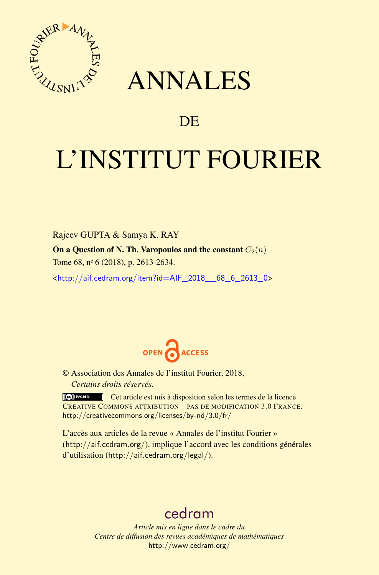

## ANNALES

### **DE**

# L'INSTITUT FOURIER

Rajeev GUPTA & Samya K. RAY On a Question of N. Th. Varopoulos and the constant  $C_2(n)$ Tome 68, nº 6 (2018), p. 2613-2634.

<[http://aif.cedram.org/item?id=AIF\\_2018\\_\\_68\\_6\\_2613\\_0](http://aif.cedram.org/item?id=AIF_2018__68_6_2613_0)>



© Association des Annales de l'institut Fourier, 2018, *Certains droits réservés.*

Cet article est mis à disposition selon les termes de la licence CREATIVE COMMONS ATTRIBUTION – PAS DE MODIFICATION 3.0 FRANCE. <http://creativecommons.org/licenses/by-nd/3.0/fr/>

L'accès aux articles de la revue « Annales de l'institut Fourier » (<http://aif.cedram.org/>), implique l'accord avec les conditions générales d'utilisation (<http://aif.cedram.org/legal/>).

## [cedram](http://www.cedram.org/)

*Article mis en ligne dans le cadre du Centre de diffusion des revues académiques de mathématiques* <http://www.cedram.org/>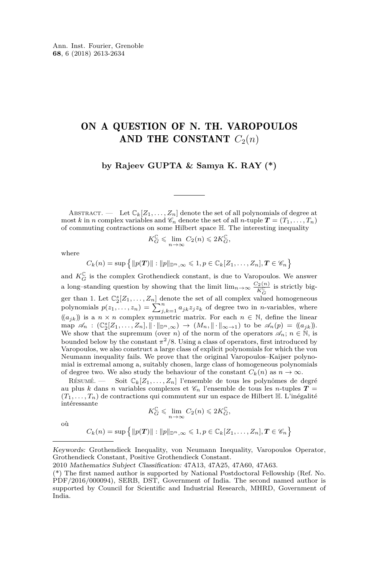#### ON A QUESTION OF N. TH. VAROPOULOS AND THE CONSTANT  $C_2(n)$

**by Rajeev GUPTA & Samya K. RAY (\*)**

ABSTRACT. — Let  $\mathbb{C}_k[Z_1,\ldots,Z_n]$  denote the set of all polynomials of degree at most *k* in *n* complex variables and  $\mathscr{C}_n$  denote the set of all *n*-tuple  $T = (T_1, \ldots, T_n)$ of commuting contractions on some Hilbert space H*.* The interesting inequality

$$
K_G^{\mathbb{C}}\leqslant \lim_{n\rightarrow \infty} C_2(n)\leqslant 2K_G^{\mathbb{C}},
$$

where

$$
C_k(n) = \sup \left\{ ||p(T)|| : ||p||_{\mathbb{D}^n, \infty} \leq 1, p \in \mathbb{C}_k[Z_1, \ldots, Z_n], T \in \mathscr{C}_n \right\}
$$

and  $K_G^{\mathbb{C}}$  is the complex Grothendieck constant, is due to Varopoulos. We answer a long–standing question by showing that the limit  $\lim_{n\to\infty} \frac{C_2(n)}{K_C^C}$  is strictly bigger than 1. Let  $\mathbb{C}_2^s[Z_1,\ldots,Z_n]$  denote the set of all complex valued homogeneous<br>polynomials  $p(z_1,\ldots,z_n) = \sum_{j,k=1}^n a_{jk}z_jz_k$  of degree two in *n*-variables, where  $((a_{jk})$  is a  $n \times n$  complex symmetric matrix. For each  $n \in \mathbb{N}$ , define the linear  $\text{map } \mathscr{A}_n : (\mathbb{C}_2^s[Z_1,\ldots,Z_n], \|\cdot\|_{\mathbb{D}^n,\infty}) \to (M_n, \|\cdot\|_{\infty \to 1}) \text{ to be } \mathscr{A}_n(p) = (a_{jk})$ . We show that the supremum (over *n*) of the norm of the operators  $\mathscr{A}_n$ ;  $n \in \mathbb{N}$ , is bounded below by the constant  $\pi^2/8$ . Using a class of operators, first introduced by Varopoulos, we also construct a large class of explicit polynomials for which the von Neumann inequality fails. We prove that the original Varopoulos–Kaijser polynomial is extremal among a, suitably chosen, large class of homogeneous polynomials of degree two. We also study the behaviour of the constant  $C_k(n)$  as  $n \to \infty$ .

RÉSUMÉ. — Soit  $\mathbb{C}_k[Z_1,\ldots,Z_n]$  l'ensemble de tous les polynômes de degré au plus *k* dans *n* variables complexes et  $\mathcal{C}_n$  l'ensemble de tous les *n*-tuples  $T =$  $(T_1, \ldots, T_n)$  de contractions qui commutent sur un espace de Hilbert  $\mathbb{H}$ . L'inégalité intéressante

$$
K_G^{\mathbb{C}} \leq \lim_{n \to \infty} C_2(n) \leq 2K_G^{\mathbb{C}},
$$

où

$$
C_k(n) = \sup \left\{ ||p(T)|| : ||p||_{\mathbb{D}^n, \infty} \leq 1, p \in \mathbb{C}_k[Z_1, \ldots, Z_n], T \in \mathscr{C}_n \right\}
$$

Keywords: Grothendieck Inequality, von Neumann Inequality, Varopoulos Operator, Grothendieck Constant, Positive Grothendieck Constant.

<sup>2010</sup> Mathematics Subject Classification: 47A13, 47A25, 47A60, 47A63.

<sup>(\*)</sup> The first named author is supported by National Postdoctoral Fellowship (Ref. No. PDF/2016/000094), SERB, DST, Government of India. The second named author is supported by Council for Scientific and Industrial Research, MHRD, Government of India.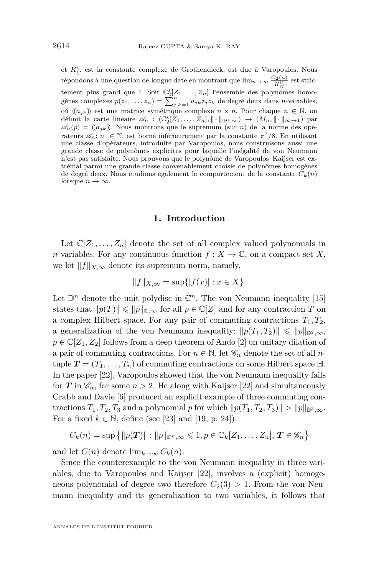et  $K_G^{\mathbb{C}}$  est la constante complexe de Grothendieck, est due à Varopoulos. Nous répondons à une question de longue date en montrant que lim<sub>*n*→∞</sub>  $\frac{C_2(n)}{K_G^{\mathbb{C}}}$  est strictement plus grand que 1. Soit  $\mathbb{C}_2^s[Z_1,\ldots,Z_n]$  l'ensemble des polynômes homogènes complexes  $p(z_1,\ldots,z_n) = \sum_{j,k=1}^n a_{jk} z_j z_k$  de degré deux dans *n*-variables, oú (( $a<sub>jk</sub>$ )) est une matrice symétrique complexe *n* × *n*. Pour chaque *n* ∈ N, on définit la carte linéaire  $\mathscr{A}_n$  :  $(\mathbb{C}_2^s[Z_1,\ldots,Z_n],\|\cdot\|_{\mathbb{D}^n,\infty}) \to (M_n,\|\cdot\|_{\infty\to 1})$  par  $\mathscr{A}_n(p) = ((a_{jk})$ . Nous montrons que le supremum (sur *n*) de la norme des opérateurs  $\mathscr{A}_n$ ;  $n \in \mathbb{N}$ , est borné inférieurement par la constante  $\pi^2/8$ . En utilisant une classe d'opérateurs, introduite par Varopoulos, nous construisons aussi une grande classe de polynômes explicites pour laquelle l'inégalité de von Neumann n'est pas satisfaite. Nous prouvons que le polynôme de Varopoulos–Kaijser est extrémal parmi une grande classe convenablement choisie de polynômes homogènes de degré deux. Nous étudions également le comportement de la constante *Ck*(*n*) lorsque  $n \to \infty$ *.* 

#### **1. Introduction**

Let  $\mathbb{C}[Z_1,\ldots,Z_n]$  denote the set of all complex valued polynomials in *n*-variables. For any continuous function  $f: X \to \mathbb{C}$ , on a compact set X, we let  $||f||_{X,\infty}$  denote its supremum norm, namely,

$$
||f||_{X,\infty} = \sup\{|f(x)| : x \in X\}.
$$

Let  $\mathbb{D}^n$  denote the unit polydisc in  $\mathbb{C}^n$ . The von Neumann inequality [\[15\]](#page-21-0) states that  $||p(T)|| \le ||p||_{\mathbb{D}, \infty}$  for all  $p \in \mathbb{C}[Z]$  and for any contraction *T* on a complex Hilbert space. For any pair of commuting contractions  $T_1, T_2,$ a generalization of the von Neumann inequality:  $||p(T_1, T_2)|| \le ||p||_{\mathbb{D}^2, \infty}$ ,  $p \in \mathbb{C}[Z_1, Z_2]$  follows from a deep theorem of Ando [\[2\]](#page-20-0) on unitary dilation of a pair of commuting contractions. For  $n \in \mathbb{N}$ , let  $\mathscr{C}_n$  denote the set of all *n*tuple  $T = (T_1, \ldots, T_n)$  of commuting contractions on some Hilbert space  $\mathbb{H}$ . In the paper [\[22\]](#page-21-1), Varopoulos showed that the von Neumann inequality fails for *T* in  $\mathscr{C}_n$ , for some  $n > 2$ . He along with Kaijser [\[22\]](#page-21-1) and simultaneously Crabb and Davie [\[6\]](#page-20-1) produced an explicit example of three commuting contractions  $T_1, T_2, T_3$  and a polynomial *p* for which  $||p(T_1, T_2, T_3)|| > ||p||_{\mathbb{D}^3 \setminus \infty}$ . For a fixed  $k \in \mathbb{N}$ , define (see [\[23\]](#page-21-2) and [\[19,](#page-21-3) p. 24]):

$$
C_k(n) = \sup \{ ||p(\boldsymbol{T})|| : ||p||_{\mathbb{D}^n, \infty} \leqslant 1, p \in \mathbb{C}_k[Z_1, \ldots, Z_n], \boldsymbol{T} \in \mathscr{C}_n \}
$$

and let  $C(n)$  denote  $\lim_{k\to\infty} C_k(n)$ .

Since the counterexample to the von Neumann inequality in three variables, due to Varopoulos and Kaijser [\[22\]](#page-21-1), involves a (explicit) homogeneous polynomial of degree two therefore  $C_2(3) > 1$ . From the von Neumann inequality and its generalization to two variables, it follows that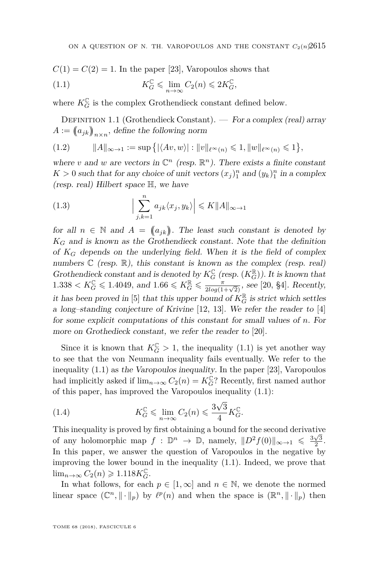$$
C(1) = C(2) = 1
$$
. In the paper [23], Varopoulos shows that

<span id="page-3-0"></span>(1.1) 
$$
K_G^{\mathbb{C}} \leq \lim_{n \to \infty} C_2(n) \leq 2K_G^{\mathbb{C}},
$$

where  $K_G^{\mathbb{C}}$  is the complex Grothendieck constant defined below.

DEFINITION 1.1 (Grothendieck Constant). — For a complex (real) array  $A := (a_{jk})_{n \times n}$ , define the following norm

$$
(1.2) \t\t ||A||_{\infty \to 1} := \sup \{ |\langle Av, w \rangle| : ||v||_{\ell^{\infty}(n)} \leq 1, ||w||_{\ell^{\infty}(n)} \leq 1 \},
$$

where *v* and *w* are vectors in  $\mathbb{C}^n$  (resp.  $\mathbb{R}^n$ ). There exists a finite constant  $K > 0$  such that for any choice of unit vectors  $(x_j)_1^n$  and  $(y_k)_1^n$  in a complex (resp. real) Hilbert space H, we have

<span id="page-3-1"></span>(1.3) 
$$
\Big|\sum_{j,k=1}^n a_{jk}\langle x_j,y_k\rangle\Big| \leq K \|A\|_{\infty \to 1}
$$

for all  $n \in \mathbb{N}$  and  $A = (a_{jk})$ . The least such constant is denoted by  $K_G$  and is known as the Grothendieck constant. Note that the definition of *K<sup>G</sup>* depends on the underlying field. When it is the field of complex numbers  $\mathbb C$  (resp.  $\mathbb R$ ), this constant is known as the complex (resp. real) Grothendieck constant and is denoted by  $K_G^{\mathbb{C}}$  (resp.  $(K_G^{\mathbb{R}})$ ). It is known that  $1.338 < K_G^{\mathbb{C}} \leq 1.4049$ , and  $1.66 \leq K_G^{\mathbb{R}} \leq \frac{\pi}{2log(1+\sqrt{2})}$ , see [\[20,](#page-21-4) §4]. Recently, it has been proved in [\[5\]](#page-20-2) that this upper bound of  $K_G^{\mathbb{R}}$  is strict which settles a long–standing conjecture of Krivine [\[12,](#page-21-5) [13\]](#page-21-6). We refer the reader to [\[4\]](#page-20-3) for some explicit computations of this constant for small values of *n.* For more on Grothedieck constant, we refer the reader to [\[20\]](#page-21-4).

Since it is known that  $K_G^{\mathbb{C}} > 1$ , the inequality [\(1.1\)](#page-3-0) is yet another way to see that the von Neumann inequality fails eventually. We refer to the inequality [\(1.1\)](#page-3-0) as the Varopoulos inequality. In the paper [\[23\]](#page-21-2), Varopoulos had implicitly asked if  $\lim_{n\to\infty} C_2(n) = K_G^{\mathbb{C}}$ ? Recently, first named author of this paper, has improved the Varopoulos inequality [\(1.1\)](#page-3-0):

(1.4) 
$$
K_G^{\mathbb{C}} \leqslant \lim_{n \to \infty} C_2(n) \leqslant \frac{3\sqrt{3}}{4} K_G^{\mathbb{C}}.
$$

This inequality is proved by first obtaining a bound for the second derivative of any holomorphic map  $f: \mathbb{D}^n \to \mathbb{D}$ , namely,  $||D^2 f(0)||_{\infty \to 1} \leq \frac{3\sqrt{3}}{2}$ . In this paper, we answer the question of Varopoulos in the negative by improving the lower bound in the inequality [\(1.1\)](#page-3-0). Indeed, we prove that  $\lim_{n\to\infty} C_2(n) \geqslant 1.118 K_G^{\mathbb{C}}$ .

In what follows, for each  $p \in [1,\infty]$  and  $n \in \mathbb{N}$ , we denote the normed linear space  $(\mathbb{C}^n, \|\cdot\|_p)$  by  $\ell^p(n)$  and when the space is  $(\mathbb{R}^n, \|\cdot\|_p)$  then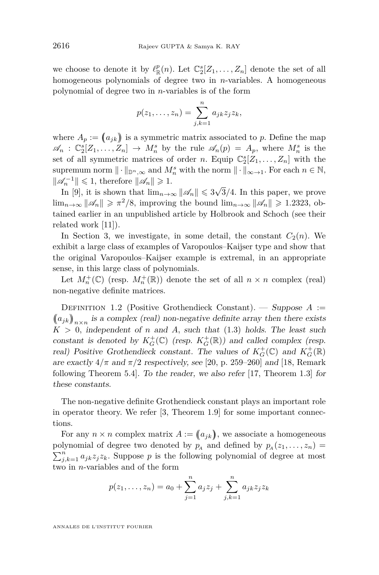we choose to denote it by  $\ell_{\mathbb{R}}^p(n)$ . Let  $\mathbb{C}_2^s[Z_1, \ldots, Z_n]$  denote the set of all homogeneous polynomials of degree two in *n*-variables. A homogeneous polynomial of degree two in *n*-variables is of the form

$$
p(z_1,\ldots,z_n)=\sum_{j,k=1}^n a_{jk}z_jz_k,
$$

where  $A_p := (a_{jk})$  is a symmetric matrix associated to p. Define the map  $\mathscr{A}_n$  :  $\mathbb{C}_2^s[Z_1,\ldots,Z_n] \to M_n^s$  by the rule  $\mathscr{A}_n(p) = A_p$ , where  $M_n^s$  is the set of all symmetric matrices of order *n*. Equip  $\mathbb{C}_2^s[Z_1, \ldots, Z_n]$  with the supremum norm  $\|\cdot\|_{\mathbb{D}^n,\infty}$  and  $M_n^s$  with the norm  $\|\cdot\|_{\infty\to 1}$ . For each  $n \in \mathbb{N}$ ,  $||\mathcal{A}_n^{-1}|| \leq 1$ , therefore  $||\mathcal{A}_n|| \geq 1$ .

 $\mathcal{I}_n$   $\|\leq 1$ , therefore  $\|\mathcal{A}_n\| \geq 1$ .<br>In [\[9\]](#page-21-7), it is shown that  $\lim_{n\to\infty} \|\mathcal{A}_n\| \leq 3\sqrt{2}$ 3*/*4*.* In this paper, we prove  $\lim_{n\to\infty} ||\mathcal{A}_n|| \geq \pi^2/8$ , improving the bound  $\lim_{n\to\infty} ||\mathcal{A}_n|| \geq 1.2323$ , obtained earlier in an unpublished article by Holbrook and Schoch (see their related work [\[11\]](#page-21-8)).

In Section [3,](#page-13-0) we investigate, in some detail, the constant  $C_2(n)$ . We exhibit a large class of examples of Varopoulos–Kaijser type and show that the original Varopoulos–Kaijser example is extremal, in an appropriate sense, in this large class of polynomials.

Let  $M_n^+(\mathbb{C})$  (resp.  $M_n^+(\mathbb{R})$ ) denote the set of all  $n \times n$  complex (real) non-negative definite matrices.

Definition 1.2 (Positive Grothendieck Constant). — Suppose *A* :=  $(a_{jk})_{n \times n}$  is a complex (real) non-negative definite array then there exists  $K > 0$ , independent of *n* and *A*, such that [\(1.3\)](#page-3-1) holds. The least such constant is denoted by  $K_G^+(\mathbb{C})$  (resp.  $K_G^+(\mathbb{R})$ ) and called complex (resp. real) Positive Grothendieck constant. The values of  $K_G^+(\mathbb{C})$  and  $K_G^+(\mathbb{R})$ are exactly  $4/\pi$  and  $\pi/2$  respectively, see [\[20,](#page-21-4) p. 259–260] and [\[18,](#page-21-9) Remark following Theorem 5.4]. To the reader, we also refer [\[17,](#page-21-10) Theorem 1.3] for these constants.

The non-negative definite Grothendieck constant plays an important role in operator theory. We refer  $[3,$  Theorem 1.9 for some important connections.

For any  $n \times n$  complex matrix  $A := (a_{jk})$ , we associate a homogeneous polynomial of degree two denoted by  $p_A$  and defined by  $p_A(z_1, \ldots, z_n)$  $\sum_{j,k=1}^n a_{jk}z_jz_k$ . Suppose *p* is the following polynomial of degree at most two in *n*-variables and of the form

$$
p(z_1,..., z_n) = a_0 + \sum_{j=1}^n a_j z_j + \sum_{j,k=1}^n a_{jk} z_j z_k
$$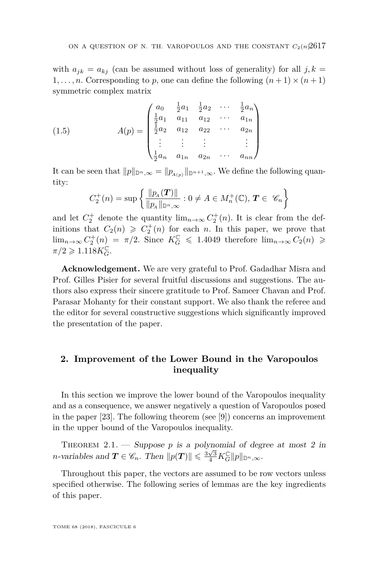with  $a_{jk} = a_{kj}$  (can be assumed without loss of generality) for all  $j, k =$ 1,..., *n*. Corresponding to *p*, one can define the following  $(n+1) \times (n+1)$ symmetric complex matrix

(1.5) 
$$
A(p) = \begin{pmatrix} a_0 & \frac{1}{2}a_1 & \frac{1}{2}a_2 & \cdots & \frac{1}{2}a_n \\ \frac{1}{2}a_1 & a_{11} & a_{12} & \cdots & a_{1n} \\ \frac{1}{2}a_2 & a_{12} & a_{22} & \cdots & a_{2n} \\ \vdots & \vdots & \vdots & & \vdots \\ \frac{1}{2}a_n & a_{1n} & a_{2n} & \cdots & a_{nn} \end{pmatrix}
$$

It can be seen that  $||p||_{\mathbb{D}^n,\infty} = ||p_{A(p)}||_{\mathbb{D}^{n+1},\infty}$ . We define the following quantity:

$$
C_2^+(n) = \sup \left\{ \frac{\|p_A(\mathbf{T})\|}{\|p_A\|_{\mathbb{D}^n,\infty}} : 0 \neq A \in M_n^+(\mathbb{C}), \mathbf{T} \in \mathscr{C}_n \right\}
$$

and let  $C_2^+$  denote the quantity  $\lim_{n\to\infty} C_2^+(n)$ . It is clear from the definitions that  $C_2(n) \geqslant C_2^+(n)$  for each *n*. In this paper, we prove that  $\lim_{n\to\infty} C_2^+(n) = \pi/2$ . Since  $K_G^{\mathbb{C}} \leq 1.4049$  therefore  $\lim_{n\to\infty} C_2(n) \geq$  $\pi/2 \geqslant 1.118 K_G^{\mathbb{C}}$ .

**Acknowledgement.** We are very grateful to Prof. Gadadhar Misra and Prof. Gilles Pisier for several fruitful discussions and suggestions. The authors also express their sincere gratitude to Prof. Sameer Chavan and Prof. Parasar Mohanty for their constant support. We also thank the referee and the editor for several constructive suggestions which significantly improved the presentation of the paper.

#### **2. Improvement of the Lower Bound in the Varopoulos inequality**

In this section we improve the lower bound of the Varopoulos inequality and as a consequence, we answer negatively a question of Varopoulos posed in the paper [\[23\]](#page-21-2). The following theorem (see [\[9\]](#page-21-7)) concerns an improvement in the upper bound of the Varopoulos inequality.

THEOREM  $2.1.$  — Suppose *p* is a polynomial of degree at most 2 in *n*-variables and  $\mathbf{T} \in \mathscr{C}_n$ . Then  $\|p(\mathbf{T})\| \leq \frac{3\sqrt{3}}{4} K_G^{\mathbf{C}} \|p\|_{\mathbb{D}^n, \infty}$ .

Throughout this paper, the vectors are assumed to be row vectors unless specified otherwise. The following series of lemmas are the key ingredients of this paper.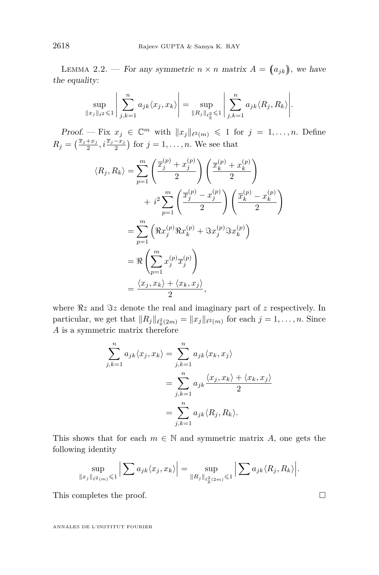<span id="page-6-0"></span>LEMMA 2.2. — For any symmetric  $n \times n$  matrix  $A = (a_{jk})$ , we have the equality:

$$
\sup_{\|x_j\|_{\ell^2} \leq 1} \left| \sum_{j,k=1}^n a_{jk} \langle x_j, x_k \rangle \right| = \sup_{\|R_j\|_{\ell^2_{\mathbb{R}}} \leq 1} \left| \sum_{j,k=1}^n a_{jk} \langle R_j, R_k \rangle \right|.
$$

Proof. — Fix  $x_j \in \mathbb{C}^m$  with  $||x_j||_{\ell^2(m)} \leq 1$  for  $j = 1, ..., n$ . Define  $R_j = \left(\frac{\bar{x}_j + x_j}{2}, i\frac{\bar{x}_j - x_j}{2}\right)$  for  $j = 1, ..., n$ . We see that

$$
\langle R_j, R_k \rangle = \sum_{p=1}^m \left( \frac{\overline{x}_j^{(p)} + x_j^{(p)}}{2} \right) \left( \frac{\overline{x}_k^{(p)} + x_k^{(p)}}{2} \right)
$$
  
+  $i^2 \sum_{p=1}^m \left( \frac{\overline{x}_j^{(p)} - x_j^{(p)}}{2} \right) \left( \frac{\overline{x}_k^{(p)} - x_k^{(p)}}{2} \right)$   
=  $\sum_{p=1}^m \left( \Re x_j^{(p)} \Re x_k^{(p)} + \Im x_j^{(p)} \Im x_k^{(p)} \right)$   
=  $\Re \left( \sum_{p=1}^m x_j^{(p)} \overline{x}_j^{(p)} \right)$   
=  $\frac{\langle x_j, x_k \rangle + \langle x_k, x_j \rangle}{2}$ ,

where  $\Re z$  and  $\Im z$  denote the real and imaginary part of  $z$  respectively. In particular, we get that  $||R_j||_{\ell^2_{\mathbb{R}}(2m)} = ||x_j||_{\ell^2(m)}$  for each  $j = 1, \ldots, n$ . Since *A* is a symmetric matrix therefore

$$
\sum_{j,k=1}^{n} a_{jk} \langle x_j, x_k \rangle = \sum_{j,k=1}^{n} a_{jk} \langle x_k, x_j \rangle
$$

$$
= \sum_{j,k=1}^{n} a_{jk} \frac{\langle x_j, x_k \rangle + \langle x_k, x_j \rangle}{2}
$$

$$
= \sum_{j,k=1}^{n} a_{jk} \langle R_j, R_k \rangle.
$$

This shows that for each  $m \in \mathbb{N}$  and symmetric matrix *A*, one gets the following identity

$$
\sup_{\|x_j\|_{\ell^2(m)}\leqslant 1} \left|\sum a_{jk}\langle x_j, x_k\rangle\right| = \sup_{\|R_j\|_{\ell^2_{\mathbb{R}}(2m)}\leqslant 1} \left|\sum a_{jk}\langle R_j, R_k\rangle\right|.
$$

This completes the proof.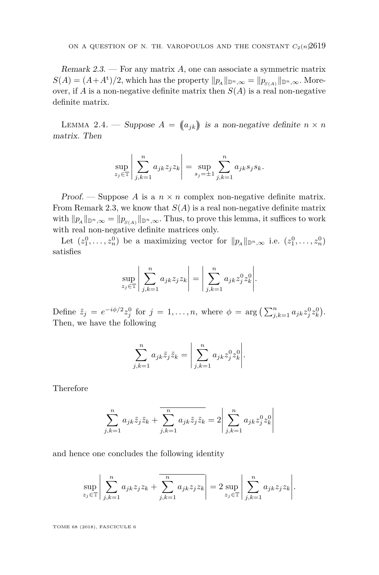<span id="page-7-0"></span>Remark 2.3. — For any matrix *A,* one can associate a symmetric matrix  $S(A) = (A + A^t)/2$ , which has the property  $||p_A||_{\mathbb{D}^n,\infty} = ||p_{S(A)}||_{\mathbb{D}^n,\infty}$ . Moreover, if *A* is a non-negative definite matrix then  $S(A)$  is a real non-negative definite matrix.

<span id="page-7-1"></span>LEMMA 2.4. — Suppose  $A = (a_{jk})$  is a non-negative definite  $n \times n$ matrix. Then

$$
\sup_{z_j \in \mathbb{T}} \left| \sum_{j,k=1}^n a_{jk} z_j z_k \right| = \sup_{s_j = \pm 1} \sum_{j,k=1}^n a_{jk} s_j s_k.
$$

Proof. — Suppose A is a  $n \times n$  complex non-negative definite matrix. From Remark [2.3,](#page-7-0) we know that  $S(A)$  is a real non-negative definite matrix with  $\|p_A\|_{\mathbb{D}^n,\infty} = \|p_{\substack{S(A)}}\|_{\mathbb{D}^n,\infty}$ . Thus, to prove this lemma, it suffices to work with real non-negative definite matrices only.

Let  $(z_1^0, \ldots, z_n^0)$  be a maximizing vector for  $||p_A||_{\mathbb{D}^n,\infty}$  i.e.  $(z_1^0, \ldots, z_n^0)$ satisfies

$$
\sup_{z_j \in \mathbb{T}} \left| \sum_{j,k=1}^n a_{jk} z_j z_k \right| = \left| \sum_{j,k=1}^n a_{jk} z_j^0 z_k^0 \right|.
$$

Define  $\tilde{z}_j = e^{-i\phi/2} z_j^0$  for  $j = 1, ..., n$ , where  $\phi = \arg \left( \sum_{j,k=1}^n a_{jk} z_j^0 z_k^0 \right)$ . Then, we have the following

$$
\sum_{j,k=1}^n a_{jk} \tilde{z}_j \tilde{z}_k = \left| \sum_{j,k=1}^n a_{jk} z_j^0 z_k^0 \right|.
$$

Therefore

$$
\sum_{j,k=1}^{n} a_{jk} \tilde{z}_j \tilde{z}_k + \overline{\sum_{j,k=1}^{n} a_{jk} \tilde{z}_j \tilde{z}_k} = 2 \left| \sum_{j,k=1}^{n} a_{jk} z_j^0 z_k^0 \right|
$$

and hence one concludes the following identity

$$
\sup_{z_j \in \mathbb{T}} \left| \sum_{j,k=1}^n a_{jk} z_j z_k + \overline{\sum_{j,k=1}^n a_{jk} z_j z_k} \right| = 2 \sup_{z_j \in \mathbb{T}} \left| \sum_{j,k=1}^n a_{jk} z_j z_k \right|.
$$

TOME 68 (2018), FASCICULE 6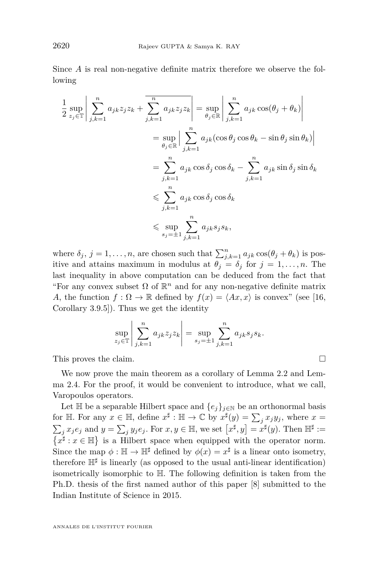Since *A* is real non-negative definite matrix therefore we observe the following

$$
\frac{1}{2} \sup_{z_j \in \mathbb{T}} \left| \sum_{j,k=1}^n a_{jk} z_j z_k + \overline{\sum_{j,k=1}^n a_{jk} z_j z_k} \right| = \sup_{\theta_j \in \mathbb{R}} \left| \sum_{j,k=1}^n a_{jk} \cos(\theta_j + \theta_k) \right|
$$
  
\n
$$
= \sup_{\theta_j \in \mathbb{R}} \left| \sum_{j,k=1}^n a_{jk} (\cos \theta_j \cos \theta_k - \sin \theta_j \sin \theta_k) \right|
$$
  
\n
$$
= \sum_{j,k=1}^n a_{jk} \cos \delta_j \cos \delta_k - \sum_{j,k=1}^n a_{jk} \sin \delta_j \sin \delta_k
$$
  
\n
$$
\leqslant \sum_{j,k=1}^n a_{jk} \cos \delta_j \cos \delta_k
$$
  
\n
$$
\leqslant \sup_{s_j = \pm 1} \sum_{j,k=1}^n a_{jk} s_j s_k,
$$

where  $\delta_j$ ,  $j = 1, ..., n$ , are chosen such that  $\sum_{j,k=1}^n a_{jk} \cos(\theta_j + \theta_k)$  is positive and attains maximum in modulus at  $\theta_j = \delta_j$  for  $j = 1, \ldots, n$ . The last inequality in above computation can be deduced from the fact that "For any convex subset  $\Omega$  of  $\mathbb{R}^n$  and for any non-negative definite matrix *A*, the function  $f : \Omega \to \mathbb{R}$  defined by  $f(x) = \langle Ax, x \rangle$  is convex" (see [\[16,](#page-21-11) Corollary 3.9.5]). Thus we get the identity

$$
\sup_{z_j \in \mathbb{T}} \left| \sum_{j,k=1}^n a_{jk} z_j z_k \right| = \sup_{s_j = \pm 1} \sum_{j,k=1}^n a_{jk} s_j s_k.
$$

This proves the claim.

We now prove the main theorem as a corollary of Lemma [2.2](#page-6-0) and Lemma [2.4.](#page-7-1) For the proof, it would be convenient to introduce, what we call, Varopoulos operators.

Let  $\mathbb{H}$  be a separable Hilbert space and  $\{e_j\}_{j\in\mathbb{N}}$  be an orthonormal basis for H. For any  $x \in \mathbb{H}$ , define  $x^{\sharp}: \mathbb{H} \to \mathbb{C}$  by  $x^{\sharp}(y) = \sum_{j} x_j y_j$ , where  $x =$  $\sum_j x_j e_j$  and  $y = \sum_j y_j e_j$ . For  $x, y \in \mathbb{H}$ , we set  $[x^{\sharp}, y] = x^{\sharp}(y)$ . Then  $\mathbb{H}^{\sharp} :=$  $\{x^{\sharp}: x \in \mathbb{H}\}\$ is a Hilbert space when equipped with the operator norm. Since the map  $\phi : \mathbb{H} \to \mathbb{H}^{\sharp}$  defined by  $\phi(x) = x^{\sharp}$  is a linear onto isometry, therefore  $\mathbb{H}^{\sharp}$  is linearly (as opposed to the usual anti-linear identification) isometrically isomorphic to H. The following definition is taken from the Ph.D. thesis of the first named author of this paper [\[8\]](#page-21-12) submitted to the Indian Institute of Science in 2015.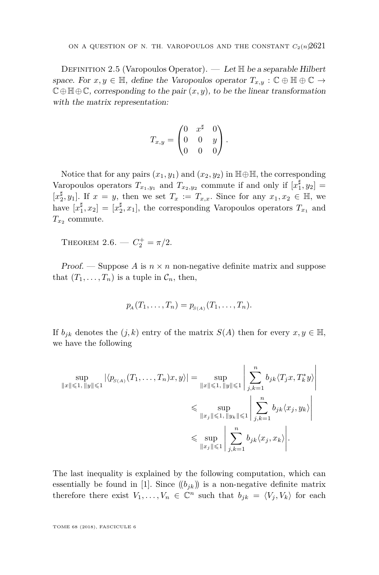DEFINITION 2.5 (Varopoulos Operator). — Let  $\mathbb H$  be a separable Hilbert space. For  $x, y \in \mathbb{H}$ , define the Varopoulos operator  $T_{x,y} : \mathbb{C} \oplus \mathbb{H} \oplus \mathbb{C} \to$  $\mathbb{C} \oplus \mathbb{H} \oplus \mathbb{C}$ , corresponding to the pair  $(x, y)$ , to be the linear transformation with the matrix representation:

$$
T_{x,y} = \begin{pmatrix} 0 & x^{\sharp} & 0 \\ 0 & 0 & y \\ 0 & 0 & 0 \end{pmatrix}.
$$

Notice that for any pairs  $(x_1, y_1)$  and  $(x_2, y_2)$  in  $\mathbb{H} \oplus \mathbb{H}$ , the corresponding Varopoulos operators  $T_{x_1,y_1}$  and  $T_{x_2,y_2}$  commute if and only if  $[x_1^{\sharp}, y_2] =$  $[x_2^{\sharp}, y_1]$ . If  $x = y$ , then we set  $T_x := T_{x,x}$ . Since for any  $x_1, x_2 \in \mathbb{H}$ , we have  $[x_1^{\sharp}, x_2] = [x_2^{\sharp}, x_1]$ , the corresponding Varopoulos operators  $T_{x_1}$  and  $T_{x_2}$  commute.

<span id="page-9-0"></span>THEOREM 2.6. —  $C_2^+ = \pi/2$ .

Proof. — Suppose A is  $n \times n$  non-negative definite matrix and suppose that  $(T_1, \ldots, T_n)$  is a tuple in  $\mathcal{C}_n$ , then,

$$
p_{A}(T_{1},...,T_{n})=p_{S(A)}(T_{1},...,T_{n}).
$$

If  $b_{ik}$  denotes the  $(j, k)$  entry of the matrix  $S(A)$  then for every  $x, y \in \mathbb{H}$ , we have the following

$$
\sup_{\|x\| \leqslant 1, \|y\| \leqslant 1} |\langle p_{S(A)}(T_1, \dots, T_n)x, y \rangle| = \sup_{\|x\| \leqslant 1, \|y\| \leqslant 1} \left| \sum_{j,k=1}^n b_{jk} \langle T_j x, T_k^* y \rangle \right|
$$
  

$$
\leqslant \sup_{\|x_j\| \leqslant 1, \|y_k\| \leqslant 1} \left| \sum_{j,k=1}^n b_{jk} \langle x_j, y_k \rangle \right|
$$
  

$$
\leqslant \sup_{\|x_j\| \leqslant 1} \left| \sum_{j,k=1}^n b_{jk} \langle x_j, x_k \rangle \right|.
$$

The last inequality is explained by the following computation, which can essentially be found in [\[1\]](#page-20-5). Since  $((b_{jk})$  is a non-negative definite matrix therefore there exist  $V_1, \ldots, V_n \in \mathbb{C}^n$  such that  $b_{jk} = \langle V_j, V_k \rangle$  for each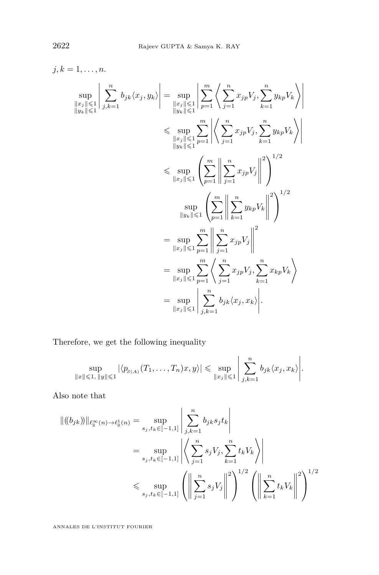$$
j, k = 1,..., n.
$$
  
\n
$$
\sup_{\|x_{j}\| \leq 1} \left| \sum_{j,k=1}^{n} b_{jk} \langle x_{j}, y_{k} \rangle \right| = \sup_{\|x_{j}\| \leq 1} \left| \sum_{p=1}^{m} \left\langle \sum_{j=1}^{n} x_{jp} V_{j}, \sum_{k=1}^{n} y_{kp} V_{k} \right\rangle \right|
$$
  
\n
$$
\leq \sup_{\|x_{j}\| \leq 1} \sum_{p=1}^{m} \left| \left\langle \sum_{j=1}^{n} x_{jp} V_{j}, \sum_{k=1}^{n} y_{kp} V_{k} \right\rangle \right|
$$
  
\n
$$
\leq \sup_{\|x_{j}\| \leq 1} \left| \sum_{j=1}^{m} \left| \sum_{j=1}^{n} x_{jp} V_{j}, \sum_{k=1}^{n} y_{kp} V_{k} \right\rangle \right|
$$
  
\n
$$
\leq \sup_{\|y_{k}\| \leq 1} \left| \sum_{p=1}^{m} \left| \sum_{j=1}^{n} x_{jp} V_{j} \right| \right|^{2} \right)^{1/2}
$$
  
\n
$$
= \sup_{\|x_{j}\| \leq 1} \sum_{p=1}^{m} \left| \sum_{j=1}^{n} x_{jp} V_{j} \right|^{2}
$$
  
\n
$$
= \sup_{\|x_{j}\| \leq 1} \sum_{p=1}^{m} \left| \sum_{j=1}^{n} x_{jp} V_{j} \right|^{2}
$$
  
\n
$$
= \sup_{\|x_{j}\| \leq 1} \sum_{p=1}^{m} \left| \sum_{j=1}^{n} x_{jp} V_{j}, \sum_{k=1}^{n} x_{kp} V_{k} \right|
$$
  
\n
$$
= \sup_{\|x_{j}\| \leq 1} \sum_{j,k=1}^{n} b_{jk} \langle x_{j}, x_{k} \rangle.
$$

Therefore, we get the following inequality

$$
\sup_{\|x\| \leqslant 1, \|y\| \leqslant 1} |\langle p_{S(A)}(T_1, \ldots, T_n)x, y \rangle| \leqslant \sup_{\|x_j\| \leqslant 1} \left| \sum_{j,k=1}^n b_{jk} \langle x_j, x_k \rangle \right|.
$$

Also note that

$$
\begin{split} \|(b_{jk})\|_{\ell^{\infty}_{\mathbb{R}}(n)\to \ell^1_{\mathbb{R}}(n)} &= \sup_{s_j,t_k\in[-1,1]} \left| \sum_{j,k=1}^n b_{jk}s_j t_k \right| \\ &= \sup_{s_j,t_k\in[-1,1]} \left| \left\langle \sum_{j=1}^n s_j V_j, \sum_{k=1}^n t_k V_k \right\rangle \right| \\ &\leqslant \sup_{s_j,t_k\in[-1,1]} \left( \left\| \sum_{j=1}^n s_j V_j \right\|^2 \right)^{1/2} \left( \left\| \sum_{k=1}^n t_k V_k \right\|^2 \right)^{1/2} \end{split}
$$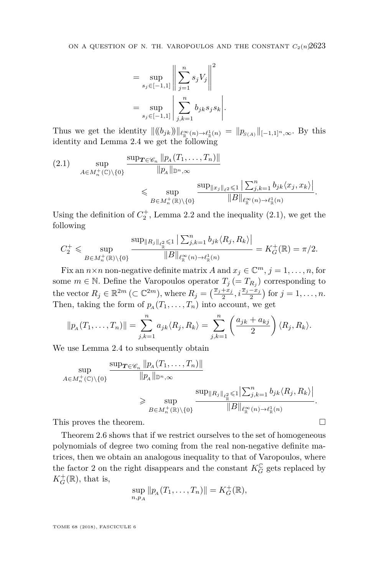$$
= \sup_{s_j \in [-1,1]} \left\| \sum_{j=1}^n s_j V_j \right\|^2
$$
  
= 
$$
\sup_{s_j \in [-1,1]} \left| \sum_{j,k=1}^n b_{jk} s_j s_k \right|.
$$

Thus we get the identity  $||(b_{jk})||_{\ell_{\mathbb{R}}^{\infty}(n) \to \ell_{\mathbb{R}}^{1}(n)} = ||p_{S(A)}||_{[-1,1]^{n},\infty}$ . By this identity and Lemma [2.4](#page-7-1) we get the following

<span id="page-11-0"></span>
$$
(2.1) \quad \sup_{A \in M_n^+(\mathbb{C}) \setminus \{0\}} \frac{\sup_{\mathcal{T} \in \mathscr{C}_n} \|p_A(T_1, \dots, T_n)\|}{\|p_A\|_{\mathbb{D}^n, \infty}} \leq \sup_{B \in M_n^+(\mathbb{R}) \setminus \{0\}} \frac{\sup_{\|x_j\|_{\ell^2} \leq 1} \left| \sum_{j,k=1}^n b_{jk} \langle x_j, x_k \rangle \right|}{\|B\|_{\ell^{\infty}_\mathbb{R}(n) \to \ell^1_\mathbb{R}(n)}}.
$$

Using the definition of  $C_2^+$ , Lemma [2.2](#page-6-0) and the inequality  $(2.1)$ , we get the following

$$
C_2^+ \leq \sup_{B \in M_n^+(\mathbb{R}) \setminus \{0\}} \frac{\sup_{\|R_j\|_{\ell_{\mathbb{R}}^2} \leq 1} \left| \sum_{j,k=1}^n b_{jk} \langle R_j, R_k \rangle \right|}{\|B\|_{\ell_{\mathbb{R}}^{\infty}(n) \to \ell_{\mathbb{R}}^1(n)}} = K_G^+(\mathbb{R}) = \pi/2.
$$

Fix an  $n \times n$  non-negative definite matrix *A* and  $x_j \in \mathbb{C}^m$ ,  $j = 1, \ldots, n$ , for some  $m \in \mathbb{N}$ . Define the Varopoulos operator  $T_j (= T_{R_j})$  corresponding to the vector  $R_j \in \mathbb{R}^{2m}$  ( $\subset \mathbb{C}^{2m}$ ), where  $R_j = \left(\frac{\overline{x}_j + x_j}{2}, i\frac{\overline{x}_j - x_j}{2}\right)$  for  $j = 1, \ldots, n$ . Then, taking the form of  $p_A(T_1, \ldots, T_n)$  into account, we get

$$
||p_A(T_1,\ldots,T_n)||=\sum_{j,k=1}^n a_{jk}\langle R_j,R_k\rangle=\sum_{j,k=1}^n\left(\frac{a_{jk}+a_{kj}}{2}\right)\langle R_j,R_k\rangle.
$$

We use Lemma [2.4](#page-7-1) to subsequently obtain

$$
\sup_{A\in M_n^+(\mathbb{C})\backslash\{0\}}\frac{\sup_{\mathcal{T}\in\mathscr{C}_n}\|p_A(T_1,\ldots,T_n)\|}{\|p_A\|_{\mathbb{D}^n,\infty}}{\sup_{B\in M_n^+(\mathbb{R})\backslash\{0\}}\frac{\sup_{\|R_j\|_{\ell^2_{\mathbb{R}}}\leqslant 1\left|\sum_{j,k=1}^n b_{jk}\langle R_j,R_k\rangle\right|}{\|B\|_{\ell^{\infty}_{\mathbb{R}}(n)\to\ell^1_{\mathbb{R}}(n)}}}.
$$

This proves the theorem.

Theorem [2.6](#page-9-0) shows that if we restrict ourselves to the set of homogeneous polynomials of degree two coming from the real non-negative definite matrices, then we obtain an analogous inequality to that of Varopoulos, where the factor 2 on the right disappears and the constant  $K_G^{\mathbb{C}}$  gets replaced by  $K_G^+(\mathbb{R})$ , that is,

$$
\sup_{n,p_A} ||p_A(T_1,\ldots,T_n)|| = K_G^+(\mathbb{R}),
$$

TOME 68 (2018), FASCICULE 6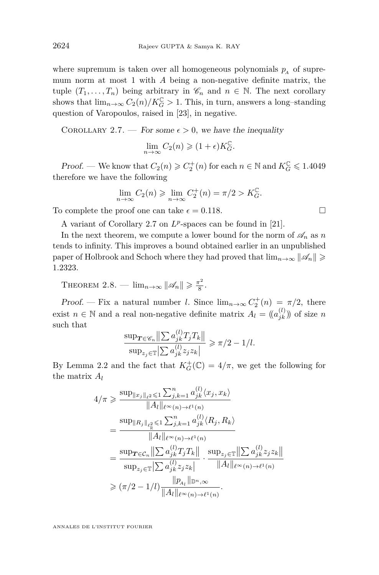where supremum is taken over all homogeneous polynomials  $p_A$  of supremum norm at most 1 with *A* being a non-negative definite matrix, the tuple  $(T_1, \ldots, T_n)$  being arbitrary in  $\mathscr{C}_n$  and  $n \in \mathbb{N}$ . The next corollary shows that  $\lim_{n\to\infty} C_2(n)/K_G^{\mathbb{C}} > 1$ . This, in turn, answers a long–standing question of Varopoulos, raised in [\[23\]](#page-21-2), in negative.

<span id="page-12-0"></span>COROLLARY 2.7. — For some  $\epsilon > 0$ , we have the inequality

$$
\lim_{n \to \infty} C_2(n) \geqslant (1 + \epsilon) K_G^{\mathbb{C}}.
$$

*Proof.* — We know that  $C_2(n) \geqslant C_2^+(n)$  for each  $n \in \mathbb{N}$  and  $K_G^{\mathbb{C}} \leqslant 1.4049$ therefore we have the following

$$
\lim_{n \to \infty} C_2(n) \ge \lim_{n \to \infty} C_2^+(n) = \pi/2 > K_G^{\mathbb{C}}.
$$

To complete the proof one can take  $\epsilon = 0.118$ .

A variant of Corollary [2.7](#page-12-0) on  $L^p$ -spaces can be found in [\[21\]](#page-21-13).

In the next theorem, we compute a lower bound for the norm of  $\mathscr{A}_n$  as *n* tends to infinity. This improves a bound obtained earlier in an unpublished paper of Holbrook and Schoch where they had proved that  $\lim_{n\to\infty} ||\mathscr{A}_n|| \geq$ 1*.*2323*.*

THEOREM 2.8. —  $\lim_{n\to\infty} ||\mathscr{A}_n|| \geqslant \frac{\pi^2}{8}$  $rac{1}{8}$ .

Proof. — Fix a natural number *l*. Since  $\lim_{n\to\infty} C_2^+(n) = \pi/2$ , there exist  $n \in \mathbb{N}$  and a real non-negative definite matrix  $A_l = (a_{jk}^{(l)})$  of size *n* such that

$$
\frac{\sup_{\mathcal{T}\in\mathscr{C}_n}\left\|\sum a_{jk}^{(l)}T_jT_k\right\|}{\sup_{z_j\in\mathbb{T}}\left|\sum a_{jk}^{(l)}z_jz_k\right|} \geqslant \pi/2 - 1/l.
$$

By Lemma [2.2](#page-6-0) and the fact that  $K_G^+(\mathbb{C}) = 4/\pi$ , we get the following for the matrix *A<sup>l</sup>*

$$
4/\pi \geqslant \frac{\sup_{\|x_j\|_{\ell^2} \leqslant 1} \sum_{j,k=1}^n a_{jk}^{(l)} \langle x_j, x_k \rangle}{\|A_l\|_{\ell^{\infty}(n) \to \ell^1(n)}} = \frac{\sup_{\|R_j\|_{\ell^2_{\mathbb{R}}} \leqslant 1} \sum_{j,k=1}^n a_{jk}^{(l)} \langle R_j, R_k \rangle}{\|A_l\|_{\ell^{\infty}(n) \to \ell^1(n)}} = \frac{\sup_{T \in \mathcal{C}_n} \left\| \sum a_{jk}^{(l)} T_j T_k \right\|}{\sup_{z_j \in \mathbb{T}} \left\| \sum a_{jk}^{(l)} z_j z_k \right\|} \cdot \frac{\sup_{z_j \in \mathbb{R}} \left\| \sum a_{jk}^{(l)} z_j z_k \right\|}{\|A_l\|_{\ell^{\infty}(n) \to \ell^1(n)}} \geqslant (\pi/2 - 1/l) \frac{\|p_{A_l}\|_{\mathbb{D}^n, \infty}}{\|A_l\|_{\ell^{\infty}(n) \to \ell^1(n)}}.
$$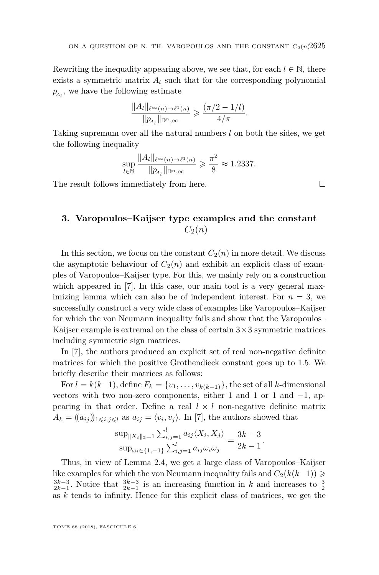Rewriting the inequality appearing above, we see that, for each  $l \in \mathbb{N}$ , there exists a symmetric matrix  $A_l$  such that for the corresponding polynomial  $p_{A_l}$ , we have the following estimate

$$
\frac{\|A_l\|_{\ell^{\infty}(n)\to\ell^1(n)}}{\|p_{A_l}\|_{\mathbb{D}^n,\infty}}\geqslant \frac{(\pi/2-1/l)}{4/\pi}.
$$

Taking supremum over all the natural numbers *l* on both the sides, we get the following inequality

$$
\sup_{l \in \mathbb{N}} \frac{\|A_l\|_{\ell^{\infty}(n) \to \ell^1(n)}}{\|p_{A_l}\|_{\mathbb{D}^n, \infty}} \geq \frac{\pi^2}{8} \approx 1.2337.
$$

The result follows immediately from here.

#### <span id="page-13-0"></span>**3. Varopoulos–Kaijser type examples and the constant**  $C_2(n)$

In this section, we focus on the constant  $C_2(n)$  in more detail. We discuss the asymptotic behaviour of  $C_2(n)$  and exhibit an explicit class of examples of Varopoulos–Kaijser type. For this, we mainly rely on a construction which appeared in [\[7\]](#page-20-6). In this case, our main tool is a very general maximizing lemma which can also be of independent interest. For  $n = 3$ , we successfully construct a very wide class of examples like Varopoulos–Kaijser for which the von Neumann inequality fails and show that the Varopoulos– Kaijser example is extremal on the class of certain  $3\times 3$  symmetric matrices including symmetric sign matrices.

In [\[7\]](#page-20-6), the authors produced an explicit set of real non-negative definite matrices for which the positive Grothendieck constant goes up to 1*.*5. We briefly describe their matrices as follows:

For  $l = k(k-1)$ , define  $F_k = \{v_1, \ldots, v_{k(k-1)}\}$ , the set of all *k*-dimensional vectors with two non-zero components, either 1 and 1 or 1 and −1*,* appearing in that order. Define a real  $l \times l$  non-negative definite matrix  $A_k = ((a_{ij})_{1 \leq i,j \leq l}$  as  $a_{ij} = \langle v_i, v_j \rangle$ . In [\[7\]](#page-20-6), the authors showed that

$$
\frac{\sup_{\|X_i\|_2=1} \sum_{i,j=1}^l a_{ij} \langle X_i, X_j \rangle}{\sup_{\omega_i \in \{1, -1\}} \sum_{i,j=1}^l a_{ij} \omega_i \omega_j} = \frac{3k-3}{2k-1}.
$$

Thus, in view of Lemma [2.4,](#page-7-1) we get a large class of Varopoulos–Kaijser like examples for which the von Neumann inequality fails and  $C_2(k(k-1)) \geq$  $\frac{3k-3}{2k-1}$ . Notice that  $\frac{3k-3}{2k-1}$  is an increasing function in *k* and increases to  $\frac{3}{2}$ as *k* tends to infinity. Hence for this explicit class of matrices, we get the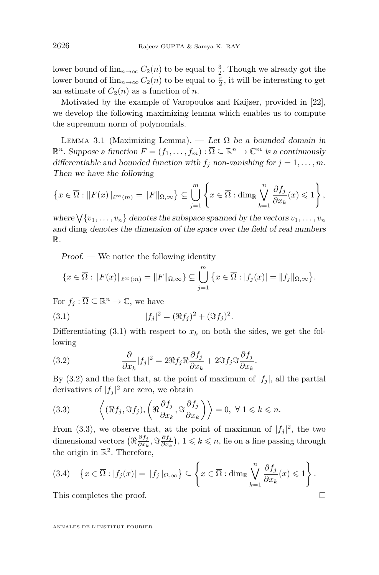lower bound of  $\lim_{n\to\infty} C_2(n)$  to be equal to  $\frac{3}{2}$ . Though we already got the lower bound of  $\lim_{n\to\infty} C_2(n)$  to be equal to  $\frac{\pi}{2}$ , it will be interesting to get an estimate of  $C_2(n)$  as a function of *n*.

Motivated by the example of Varopoulos and Kaijser, provided in [\[22\]](#page-21-1), we develop the following maximizing lemma which enables us to compute the supremum norm of polynomials.

<span id="page-14-3"></span>LEMMA 3.1 (Maximizing Lemma). — Let  $\Omega$  be a bounded domain in  $\mathbb{R}^n$ . Suppose a function  $F = (f_1, \ldots, f_m) : \overline{\Omega} \subseteq \mathbb{R}^n \to \mathbb{C}^m$  is a continuously differentiable and bounded function with  $f_j$  non-vanishing for  $j = 1, \ldots, m$ . Then we have the following

$$
\left\{x \in \overline{\Omega} : \|F(x)\|_{\ell^{\infty}(m)} = \|F\|_{\Omega,\infty}\right\} \subseteq \bigcup_{j=1}^{m} \left\{x \in \overline{\Omega} : \dim_{\mathbb{R}} \bigvee_{k=1}^{n} \frac{\partial f_j}{\partial x_k}(x) \leqslant 1\right\},\
$$

where  $\bigvee \{v_1, \ldots, v_n\}$  denotes the subspace spanned by the vectors  $v_1, \ldots, v_n$ and dim<sub>R</sub> denotes the dimension of the space over the field of real numbers R*.*

Proof. — We notice the following identity

$$
\{x \in \overline{\Omega} : ||F(x)||_{\ell^{\infty}(m)} = ||F||_{\Omega,\infty}\} \subseteq \bigcup_{j=1}^{m} \{x \in \overline{\Omega} : |f_j(x)| = ||f_j||_{\Omega,\infty}\}.
$$

For  $f_j : \overline{\Omega} \subseteq \mathbb{R}^n \to \mathbb{C}$ , we have

<span id="page-14-0"></span>(3.1) 
$$
|f_j|^2 = (\Re f_j)^2 + (\Im f_j)^2.
$$

Differentiating  $(3.1)$  with respect to  $x_k$  on both the sides, we get the following

<span id="page-14-1"></span>(3.2) 
$$
\frac{\partial}{\partial x_k} |f_j|^2 = 2 \Re f_j \Re \frac{\partial f_j}{\partial x_k} + 2 \Im f_j \Im \frac{\partial f_j}{\partial x_k}.
$$

By [\(3.2\)](#page-14-1) and the fact that, at the point of maximum of  $|f_j|$ , all the partial derivatives of  $|f_j|^2$  are zero, we obtain

<span id="page-14-2"></span>(3.3) 
$$
\left\langle (\Re f_j, \Im f_j), \left( \Re \frac{\partial f_j}{\partial x_k}, \Im \frac{\partial f_j}{\partial x_k} \right) \right\rangle = 0, \ \forall \ 1 \leq k \leq n.
$$

From [\(3.3\)](#page-14-2), we observe that, at the point of maximum of  $|f_j|^2$ , the two dimensional vectors  $(\Re \frac{\partial f_j}{\partial x_i})$  $\frac{\partial f_j}{\partial x_k},$   $\Im \frac{\partial f_j}{\partial x_k}$  $\left(\frac{\partial f_j}{\partial x_k}\right)$ , 1 ≤ *k* ≤ *n*, lie on a line passing through the origin in R 2 *.* Therefore,

$$
(3.4) \quad \left\{x \in \overline{\Omega} : |f_j(x)| = \|f_j\|_{\Omega,\infty}\right\} \subseteq \left\{x \in \overline{\Omega} : \dim_{\mathbb{R}} \bigvee_{k=1}^n \frac{\partial f_j}{\partial x_k}(x) \leqslant 1\right\}.
$$

This completes the proof.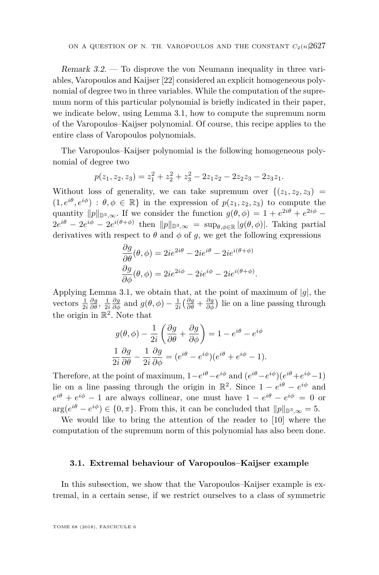Remark 3.2. — To disprove the von Neumann inequality in three variables, Varopoulos and Kaijser [\[22\]](#page-21-1) considered an explicit homogeneous polynomial of degree two in three variables. While the computation of the supremum norm of this particular polynomial is briefly indicated in their paper, we indicate below, using Lemma [3.1,](#page-14-3) how to compute the supremum norm of the Varopoulos–Kaijser polynomial. Of course, this recipe applies to the entire class of Varopoulos polynomials.

The Varopoulos–Kaijser polynomial is the following homogeneous polynomial of degree two

$$
p(z_1, z_2, z_3) = z_1^2 + z_2^2 + z_3^2 - 2z_1z_2 - 2z_2z_3 - 2z_3z_1.
$$

Without loss of generality, we can take supremum over  $\{(z_1, z_2, z_3)$  $(1, e^{i\theta}, e^{i\phi})$ :  $\theta, \phi \in \mathbb{R}$  in the expression of  $p(z_1, z_2, z_3)$  to compute the quantity  $||p||_{\mathbb{D}^3,\infty}$ . If we consider the function  $g(\theta,\phi) = 1 + e^{2i\theta} + e^{2i\phi} 2e^{i\theta} - 2e^{i\phi} - 2e^{i(\theta + \phi)}$  then  $||p||_{\mathbb{D}^3,\infty} = \sup_{\theta,\phi \in \mathbb{R}} |g(\theta,\phi)|$ . Taking partial derivatives with respect to  $\theta$  and  $\phi$  of  $g$ , we get the following expressions

$$
\frac{\partial g}{\partial \theta}(\theta, \phi) = 2ie^{2i\theta} - 2ie^{i\theta} - 2ie^{i(\theta + \phi)}
$$

$$
\frac{\partial g}{\partial \phi}(\theta, \phi) = 2ie^{2i\phi} - 2ie^{i\phi} - 2ie^{i(\theta + \phi)}.
$$

Applying Lemma [3.1,](#page-14-3) we obtain that, at the point of maximum of  $|g|$ , the vectors  $\frac{1}{2i} \frac{\partial g}{\partial \theta}$ ,  $\frac{1}{2i} \frac{\partial g}{\partial \phi}$  and  $g(\theta, \phi) - \frac{1}{2i} \left( \frac{\partial g}{\partial \theta} + \frac{\partial g}{\partial \phi} \right)$  lie on a line passing through the origin in  $\mathbb{R}^2$ . Note that

$$
g(\theta, \phi) - \frac{1}{2i} \left( \frac{\partial g}{\partial \theta} + \frac{\partial g}{\partial \phi} \right) = 1 - e^{i\theta} - e^{i\phi}
$$

$$
\frac{1}{2i} \frac{\partial g}{\partial \theta} - \frac{1}{2i} \frac{\partial g}{\partial \phi} = (e^{i\theta} - e^{i\phi})(e^{i\theta} + e^{i\phi} - 1).
$$

Therefore, at the point of maximum,  $1-e^{i\theta}-e^{i\phi}$  and  $(e^{i\theta}-e^{i\phi})(e^{i\theta}+e^{i\phi}-1)$ lie on a line passing through the origin in  $\mathbb{R}^2$ . Since  $1 - e^{i\theta} - e^{i\phi}$  and  $e^{i\theta} + e^{i\phi} - 1$  are always collinear, one must have  $1 - e^{i\theta} - e^{i\phi} = 0$  or  $\arg(e^{i\theta} - e^{i\phi}) \in \{0, \pi\}$ . From this, it can be concluded that  $||p||_{\mathbb{D}^3, \infty} = 5$ .

We would like to bring the attention of the reader to [\[10\]](#page-21-14) where the computation of the supremum norm of this polynomial has also been done.

#### **3.1. Extremal behaviour of Varopoulos–Kaijser example**

In this subsection, we show that the Varopoulos–Kaijser example is extremal, in a certain sense, if we restrict ourselves to a class of symmetric

TOME 68 (2018), FASCICULE 6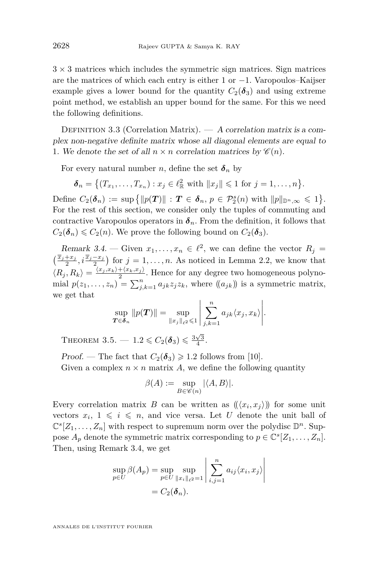$3 \times 3$  matrices which includes the symmetric sign matrices. Sign matrices are the matrices of which each entry is either 1 or −1. Varopoulos–Kaijser example gives a lower bound for the quantity  $C_2(\delta_3)$  and using extreme point method, we establish an upper bound for the same. For this we need the following definitions.

DEFINITION 3.3 (Correlation Matrix).  $- A$  correlation matrix is a complex non-negative definite matrix whose all diagonal elements are equal to 1. We denote the set of all  $n \times n$  correlation matrices by  $\mathscr{C}(n)$ .

For every natural number *n*, define the set  $\delta_n$  by

$$
\delta_n = \{(T_{x_1}, \ldots, T_{x_n}) : x_j \in \ell^2_{\mathbb{R}}
$$
 with  $||x_j|| \leq 1$  for  $j = 1, \ldots, n\}.$ 

Define  $C_2(\boldsymbol{\delta}_n) := \sup \{ ||p(\boldsymbol{T})|| : \boldsymbol{T} \in \boldsymbol{\delta}_n, p \in \mathcal{P}_2^s(n) \text{ with } ||p||_{\mathbb{D}^n, \infty} \leqslant 1 \}.$ For the rest of this section, we consider only the tuples of commuting and contractive Varopoulos operators in  $\delta_n$ . From the definition, it follows that  $C_2(\boldsymbol{\delta}_n) \leq C_2(n)$ . We prove the following bound on  $C_2(\boldsymbol{\delta}_3)$ .

<span id="page-16-0"></span>Remark 3.4. — Given  $x_1, \ldots, x_n \in \ell^2$ , we can define the vector  $R_j =$  $\left(\frac{\overline{x}_j+x_j}{2}, i\frac{\overline{x}_j-x_j}{2}\right)$  for  $j=1,\ldots,n$ . As noticed in Lemma [2.2,](#page-6-0) we know that  $\langle R_j, R_k \rangle = \frac{\langle x_j, x_k \rangle + \langle x_k, x_j \rangle}{2}$ . Hence for any degree two homogeneous polynomial  $p(z_1, \ldots, z_n) = \sum_{j,k=1}^n a_{jk} z_j z_k$ , where  $((a_{jk})$  is a symmetric matrix, we get that

$$
\sup_{\mathbf{T}\in\boldsymbol{\delta}_n}||p(\mathbf{T})|| = \sup_{||x_j||_{\ell^2}\leqslant 1} \left|\sum_{j,k=1}^n a_{jk}\langle x_j,x_k\rangle\right|.
$$

<span id="page-16-1"></span>THEOREM 3.5.  $- 1.2 \leq C_2(\delta_3) \leq \frac{3\sqrt{3}}{4}$ .

Proof. — The fact that  $C_2(\delta_3) \geq 1.2$  follows from [\[10\]](#page-21-14). Given a complex  $n \times n$  matrix A, we define the following quantity

$$
\beta(A):=\sup_{B\in\mathscr{C}(n)}|\langle A,B\rangle|.
$$

Every correlation matrix *B* can be written as  $((\langle x_i, x_j \rangle))$  for some unit vectors  $x_i$ ,  $1 \leq i \leq n$ , and vice versa. Let *U* denote the unit ball of  $\mathbb{C}^s[Z_1,\ldots,Z_n]$  with respect to supremum norm over the polydisc  $\mathbb{D}^n$ . Suppose  $A_p$  denote the symmetric matrix corresponding to  $p \in \mathbb{C}^s[Z_1, \ldots, Z_n]$ . Then, using Remark [3.4,](#page-16-0) we get

$$
\sup_{p\in U} \beta(A_p) = \sup_{p\in U} \sup_{\|x_i\|_{\ell^2}=1} \left| \sum_{i,j=1}^n a_{ij} \langle x_i, x_j \rangle \right|
$$
  
=  $C_2(\boldsymbol{\delta}_n).$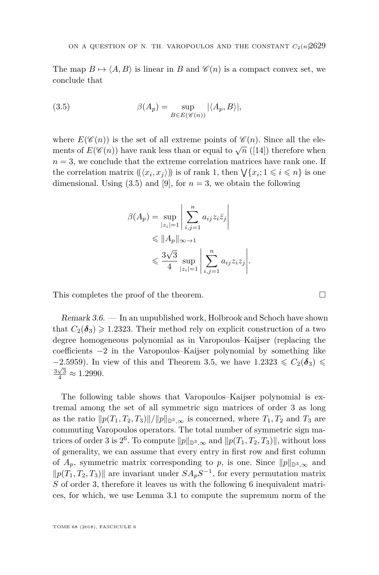The map  $B \mapsto \langle A, B \rangle$  is linear in *B* and  $\mathscr{C}(n)$  is a compact convex set, we conclude that

<span id="page-17-0"></span>(3.5) 
$$
\beta(A_p) = \sup_{B \in E(\mathscr{C}(n))} |\langle A_p, B \rangle|,
$$

where  $E(\mathscr{C}(n))$  is the set of all extreme points of  $\mathscr{C}(n)$ . Since all the elements of  $E(\mathscr{C}(n))$  have rank less than or equal to  $\sqrt{n}$  ([\[14\]](#page-21-15)) therefore when  $n = 3$ , we conclude that the extreme correlation matrices have rank one. If the correlation matrix  $((\langle x_i, x_j \rangle))$  is of rank 1, then  $\bigvee \{x_i; 1 \leq i \leq n\}$  is one dimensional. Using  $(3.5)$  and  $[9]$ , for  $n = 3$ , we obtain the following

$$
\beta(A_p) = \sup_{|z_i|=1} \left| \sum_{i,j=1}^n a_{ij} z_i \overline{z}_j \right|
$$
  
\n
$$
\leq \|A_p\|_{\infty \to 1}
$$
  
\n
$$
\leq \frac{3\sqrt{3}}{4} \sup_{|z_i|=1} \left| \sum_{i,j=1}^n a_{ij} z_i z_j \right|.
$$

This completes the proof of the theorem.

Remark 3.6. — In an unpublished work, Holbrook and Schoch have shown that  $C_2(\delta_3) \geq 1.2323$ . Their method rely on explicit construction of a two degree homogeneous polynomial as in Varopoulos–Kaijser (replacing the coefficients −2 in the Varopoulos–Kaijser polynomial by something like  $-2.5959$ ). In view of this and Theorem [3.5,](#page-16-1) we have  $1.2323 \le C_2(\delta_3) \le$  $\frac{3\sqrt{3}}{4} \approx 1.2990.$ 

The following table shows that Varopoulos–Kaijser polynomial is extremal among the set of all symmetric sign matrices of order 3 as long as the ratio  $\|p(T_1, T_2, T_3)\|/\|p\|_{\mathbb{D}^3,\infty}$  is concerned, where  $T_1, T_2$  and  $T_3$  are commuting Varopoulos operators. The total number of symmetric sign matrices of order 3 is  $2^6$ . To compute  $||p||_{\mathbb{D}^3,\infty}$  and  $||p(T_1,T_2,T_3)||$ , without loss of generality, we can assume that every entry in first row and first column of  $A_p$ , symmetric matrix corresponding to p, is one. Since  $||p||_{\mathbb{D}^3,\infty}$  and  $||p(T_1, T_2, T_3)||$  are invariant under  $SA_pS^{-1}$ , for every permutation matrix *S* of order 3*,* therefore it leaves us with the following 6 inequivalent matrices, for which, we use Lemma [3.1](#page-14-3) to compute the supremum norm of the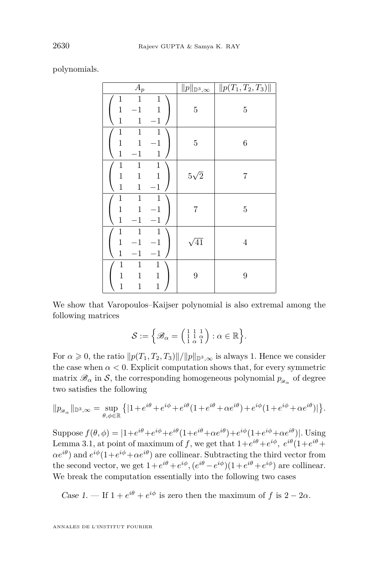polynomials.

| $\mathcal{A}_p$                                                                                                       | $  p  _{\mathbb{D}^3,\infty}$ | $  p(T_1, T_2, T_3)  $ |
|-----------------------------------------------------------------------------------------------------------------------|-------------------------------|------------------------|
| $\mathbf{1}$<br>$\mathbf{1}$<br>$\mathbf{1}$<br>$\,1$<br>$-1$<br>$\mathbf 1$<br>$\mathbf 1$<br>$\mathbf{1}$<br>$-1$   | $\bf 5$                       | $\bf 5$                |
| $\mathbf 1$<br>$\,1$<br>$\mathbf{1}$<br>$\,1$<br>$-1$<br>$\mathbf{1}$<br>$\mathbf{1}$<br>$\mathbf 1$<br>$-1\,$        | $\bf 5$                       | $\,6$                  |
| $\mathbf 1$<br>$\,1$<br>$\mathbf 1$<br>$\mathbf{1}$<br>$\mathbf{1}$<br>$\,1$<br>$\mathbf 1$<br>$-1$<br>$\mathbf{1}$   | $5\sqrt{2}$                   | 7                      |
| $\,1$<br>$\,1$<br>$\,1$<br>$\mathbf{1}$<br>$\,1$<br>$-1$<br>$\mathbf{1}$<br>$-1$<br>$-1$                              | 7                             | $\bf 5$                |
| $\,1$<br>$\mathbf{1}$<br>$\mathbf{1}$<br>$\mathbf{1}$<br>$-1\,$<br>$-1$<br>$\mathbf 1$<br>$-1\,$<br>$-1$              | $\sqrt{41}$                   | $\overline{4}$         |
| $\,1$<br>$\mathbf{1}$<br>$\mathbf 1$<br>$\mathbf{1}$<br>$\,1$<br>$\mathbf{1}$<br>$\mathbf{1}$<br>$\,1$<br>$\mathbf 1$ | 9                             | $\boldsymbol{9}$       |

We show that Varopoulos–Kaijser polynomial is also extremal among the following matrices

$$
\mathcal{S} := \Big\{ \mathscr{B}_{\alpha} = \left( \begin{smallmatrix} 1 & 1 & 1 \\ 1 & 1 & \alpha \\ 1 & \alpha & 1 \end{smallmatrix} \right) : \alpha \in \mathbb{R} \Big\}.
$$

For  $\alpha \geq 0$ , the ratio  $||p(T_1, T_2, T_3)||/||p||_{\mathbb{D}^3,\infty}$  is always 1. Hence we consider the case when  $\alpha < 0$ . Explicit computation shows that, for every symmetric matrix  $\mathscr{B}_{\alpha}$  in  $\mathcal{S}$ , the corresponding homogeneous polynomial  $p_{\mathscr{B}_{\alpha}}$  of degree two satisfies the following

$$
\|p_{{\mathscr B}_\alpha}\|_{{\mathbb D}^3,\infty}=\sup_{\theta,\phi\in{\mathbb R}}\left\{|1+e^{i\theta}+e^{i\phi}+e^{i\theta}(1+e^{i\theta}+\alpha e^{i\theta})+e^{i\phi}(1+e^{i\phi}+\alpha e^{i\theta})|\right\}.
$$

 $\text{Suppose } f(\theta, \phi) = |1+e^{i\theta}+e^{i\phi}+e^{i\theta}(1+e^{i\theta}+\alpha e^{i\theta})+e^{i\phi}(1+e^{i\phi}+\alpha e^{i\theta})|$ . Using Lemma [3.1,](#page-14-3) at point of maximum of f, we get that  $1+e^{i\theta}+e^{i\phi}$ ,  $e^{i\theta}(1+e^{i\theta}+e^{i\phi})$  $\alpha e^{i\theta}$ ) and  $e^{i\phi}(1+e^{i\phi}+\alpha e^{i\theta})$  are collinear. Subtracting the third vector from the second vector, we get  $1 + e^{i\theta} + e^{i\phi}$ ,  $(e^{i\theta} - e^{i\phi})(1 + e^{i\theta} + e^{i\phi})$  are collinear. We break the computation essentially into the following two cases

Case 1. — If  $1 + e^{i\theta} + e^{i\phi}$  is zero then the maximum of f is  $2 - 2\alpha$ .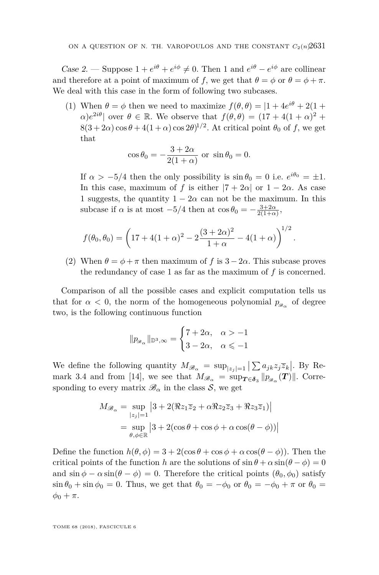Case 2. — Suppose  $1 + e^{i\theta} + e^{i\phi} \neq 0$ . Then 1 and  $e^{i\theta} - e^{i\phi}$  are collinear and therefore at a point of maximum of *f*, we get that  $\theta = \phi$  or  $\theta = \phi + \pi$ . We deal with this case in the form of following two subcases.

(1) When  $\theta = \phi$  then we need to maximize  $f(\theta, \theta) = |1 + 4e^{i\theta} + 2(1 +$  $\alpha$ )*e*<sup>2*iθ*</sup>| over  $\theta \in \mathbb{R}$ . We observe that  $f(\theta, \theta) = (17 + 4(1 + \alpha)^2 + \theta)$  $8(3+2\alpha)\cos\theta + 4(1+\alpha)\cos 2\theta$ <sup>1/2</sup>. At critical point  $\theta_0$  of f, we get that

$$
\cos \theta_0 = -\frac{3+2\alpha}{2(1+\alpha)} \text{ or } \sin \theta_0 = 0.
$$

If  $\alpha > -5/4$  then the only possibility is  $\sin \theta_0 = 0$  i.e.  $e^{i\theta_0} = \pm 1$ . In this case, maximum of *f* is either  $|7 + 2\alpha|$  or  $1 - 2\alpha$ . As case 1 suggests, the quantity  $1 - 2\alpha$  can not be the maximum. In this subcase if  $\alpha$  is at most  $-5/4$  then at  $\cos \theta_0 = -\frac{3+2\alpha}{2(1+\alpha)}$ ,

*.*

$$
f(\theta_0, \theta_0) = \left(17 + 4(1+\alpha)^2 - 2\frac{(3+2\alpha)^2}{1+\alpha} - 4(1+\alpha)\right)^{1/2}
$$

(2) When  $\theta = \phi + \pi$  then maximum of f is  $3 - 2\alpha$ . This subcase proves the redundancy of case 1 as far as the maximum of *f* is concerned.

Comparison of all the possible cases and explicit computation tells us that for  $\alpha < 0$ , the norm of the homogeneous polynomial  $p_{\mathscr{B}_{\alpha}}$  of degree two, is the following continuous function

$$
\|p_{{\mathscr B}_\alpha}\|_{{\mathbb D}^3,\infty}=\begin{cases} 7+2\alpha, & \alpha>-1 \\ 3-2\alpha, & \alpha\leqslant -1 \end{cases}
$$

We define the following quantity  $M_{\mathscr{B}_{\alpha}} = \sup_{|z_j|=1} |\sum a_{jk}z_j\overline{z}_k|$ . By Re-mark [3.4](#page-16-0) and from [\[14\]](#page-21-15), we see that  $M_{\mathscr{B}_{\alpha}} = \sup_{\mathbf{T} \in \mathbf{\delta}_3} ||p_{\mathscr{B}_{\alpha}}(\mathbf{T})||$ . Corresponding to every matrix  $\mathscr{B}_{\alpha}$  in the class S, we get

$$
M_{\mathscr{B}_{\alpha}} = \sup_{|z_j|=1} |3 + 2(\Re z_1 \overline{z}_2 + \alpha \Re z_2 \overline{z}_3 + \Re z_3 \overline{z}_1)|
$$
  
= 
$$
\sup_{\theta, \phi \in \mathbb{R}} |3 + 2(\cos \theta + \cos \phi + \alpha \cos(\theta - \phi))|
$$

Define the function  $h(\theta, \phi) = 3 + 2(\cos \theta + \cos \phi + \alpha \cos(\theta - \phi))$ . Then the critical points of the function *h* are the solutions of  $\sin \theta + \alpha \sin(\theta - \phi) = 0$ and  $\sin \phi - \alpha \sin(\theta - \phi) = 0$ . Therefore the critical points  $(\theta_0, \phi_0)$  satisfy  $\sin \theta_0 + \sin \phi_0 = 0$ . Thus, we get that  $\theta_0 = -\phi_0$  or  $\theta_0 = -\phi_0 + \pi$  or  $\theta_0 =$  $φ_0 + π.$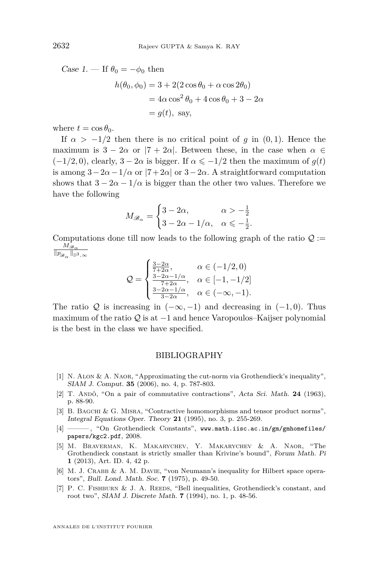Case 1. — If  $\theta_0 = -\phi_0$  then

$$
h(\theta_0, \phi_0) = 3 + 2(2\cos\theta_0 + \alpha\cos 2\theta_0)
$$
  
=  $4\alpha\cos^2\theta_0 + 4\cos\theta_0 + 3 - 2\alpha$   
=  $g(t)$ , say,

where  $t = \cos \theta_0$ .

If  $\alpha > -1/2$  then there is no critical point of *g* in (0, 1). Hence the maximum is  $3 - 2\alpha$  or  $|7 + 2\alpha|$ . Between these, in the case when  $\alpha \in$  $(-1/2, 0)$ , clearly,  $3 - 2\alpha$  is bigger. If  $\alpha \leq -1/2$  then the maximum of  $g(t)$ is among  $3-2\alpha-1/\alpha$  or  $|7+2\alpha|$  or  $3-2\alpha$ . A straightforward computation shows that  $3 - 2\alpha - 1/\alpha$  is bigger than the other two values. Therefore we have the following

$$
M_{\mathscr{B}_{\alpha}} = \begin{cases} 3 - 2\alpha, & \alpha > -\frac{1}{2} \\ 3 - 2\alpha - 1/\alpha, & \alpha \leq -\frac{1}{2}. \end{cases}
$$

Computations done till now leads to the following graph of the ratio  $\mathcal{Q}$  := *M*B*<sup>α</sup>*  $\|p_{{\mathscr B}_\alpha}\|_{{\mathbb D}^3,\infty}$ 

$$
\mathcal{Q} = \begin{cases} \frac{3-2\alpha}{7+2\alpha}, & \alpha \in (-1/2, 0) \\ \frac{3-2\alpha-1/\alpha}{7+2\alpha}, & \alpha \in [-1, -1/2] \\ \frac{3-2\alpha-1/\alpha}{3-2\alpha}, & \alpha \in (-\infty, -1). \end{cases}
$$

The ratio Q is increasing in  $(-\infty, -1)$  and decreasing in  $(-1, 0)$ . Thus maximum of the ratio Q is at  $-1$  and hence Varopoulos–Kaijser polynomial is the best in the class we have specified.

#### BIBLIOGRAPHY

- <span id="page-20-5"></span>[1] N. Alon & A. Naor, "Approximating the cut-norm via Grothendieck's inequality", SIAM J. Comput. **35** (2006), no. 4, p. 787-803.
- <span id="page-20-0"></span>[2] T. ANDÔ, "On a pair of commutative contractions", Acta Sci. Math. 24 (1963), p. 88-90.
- <span id="page-20-4"></span>[3] B. BAGCHI & G. MISRA, "Contractive homomorphisms and tensor product norms", Integral Equations Oper. Theory **21** (1995), no. 3, p. 255-269.
- <span id="page-20-3"></span>[4] - 6 The Grothendieck Constants", [www.math.iisc.ac.in/gm/gmhomefiles/](www.math.iisc.ac.in/ gm/gmhomefiles/papers/kgc2.pdf) [papers/kgc2.pdf](www.math.iisc.ac.in/ gm/gmhomefiles/papers/kgc2.pdf), 2008.
- <span id="page-20-2"></span>[5] M. Braverman, K. Makarychev, Y. Makarychev & A. Naor, "The Grothendieck constant is strictly smaller than Krivine's bound", Forum Math. Pi **1** (2013), Art. ID. 4, 42 p.
- <span id="page-20-1"></span>[6] M. J. CRABB & A. M. DAVIE, "von Neumann's inequality for Hilbert space operators", Bull. Lond. Math. Soc. **7** (1975), p. 49-50.
- <span id="page-20-6"></span>[7] P. C. FISHBURN & J. A. REEDS, "Bell inequalities, Grothendieck's constant, and root two", SIAM J. Discrete Math. **7** (1994), no. 1, p. 48-56.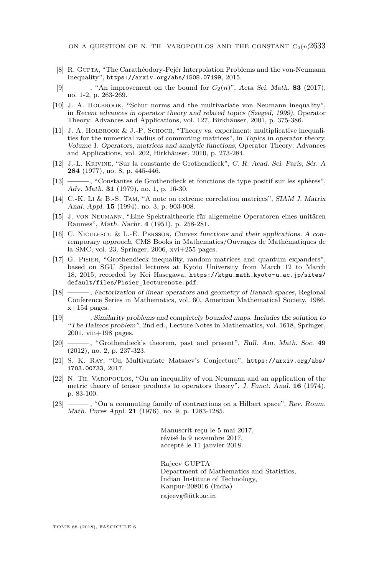- <span id="page-21-12"></span>[8] R. Gupta, "The Carathéodory-Fejér Interpolation Problems and the von-Neumann Inequality", <https://arxiv.org/abs/1508.07199>, 2015.
- <span id="page-21-7"></span>[9] ——, "An improvement on the bound for  $C_2(n)$ ", Acta Sci. Math. **83** (2017), no. 1-2, p. 263-269.
- <span id="page-21-14"></span>[10] J. A. Holbrook, "Schur norms and the multivariate von Neumann inequality", in Recent advances in operator theory and related topics (Szeged, 1999), Operator Theory: Advances and Applications, vol. 127, Birkhäuser, 2001, p. 375-386.
- <span id="page-21-8"></span>[11] J. A. HOLBROOK & J.-P. SCHOCH, "Theory vs. experiment: multiplicative inequalities for the numerical radius of commuting matrices", in Topics in operator theory. Volume 1. Operators, matrices and analytic functions, Operator Theory: Advances and Applications, vol. 202, Birkhäuser, 2010, p. 273-284.
- <span id="page-21-5"></span>[12] J.-L. Krivine, "Sur la constante de Grothendieck", C. R. Acad. Sci. Paris, Sér. A **284** (1977), no. 8, p. 445-446.
- <span id="page-21-6"></span>[13] ———, "Constantes de Grothendieck et fonctions de type positif sur les sphères", Adv. Math. **31** (1979), no. 1, p. 16-30.
- <span id="page-21-15"></span>[14] C.-K. Li & B.-S. Tam, "A note on extreme correlation matrices", SIAM J. Matrix Anal. Appl. **15** (1994), no. 3, p. 903-908.
- <span id="page-21-0"></span>[15] J. von Neumann, "Eine Spektraltheorie für allgemeine Operatoren eines unitären Raumes", Math. Nachr. **4** (1951), p. 258-281.
- <span id="page-21-11"></span>[16] C. Niculescu & L.-E. Persson, Convex functions and their applications. A contemporary approach, CMS Books in Mathematics/Ouvrages de Mathématiques de la SMC, vol. 23, Springer, 2006, xvi+255 pages.
- <span id="page-21-10"></span>[17] G. Pisier, "Grothendieck inequality, random matrices and quantum expanders", based on SGU Special lectures at Kyoto University from March 12 to March 18, 2015, recorded by Kei Hasegawa, [https://ktgu.math.kyoto-u.ac.jp/sites/](https://ktgu.math.kyoto-u.ac.jp/sites/default/files/Pisier_lecturenote.pdf) default/files/Pisier lecturenote.pdf.
- <span id="page-21-9"></span>[18] ——— , Factorization of linear operators and geometry of Banach spaces, Regional Conference Series in Mathematics, vol. 60, American Mathematical Society, 1986,  $x+154$  pages.
- <span id="page-21-3"></span>[19] ——— , Similarity problems and completely bounded maps. Includes the solution to "The Halmos problem", 2nd ed., Lecture Notes in Mathematics, vol. 1618, Springer, 2001, viii+198 pages.
- <span id="page-21-4"></span>[20] ——— , "Grothendieck's theorem, past and present", Bull. Am. Math. Soc. **49** (2012), no. 2, p. 237-323.
- <span id="page-21-13"></span>[21] S. K. Ray, "On Multivariate Matsaev's Conjecture", [https://arxiv.org/abs/](https://arxiv.org/abs/1703.00733) [1703.00733](https://arxiv.org/abs/1703.00733), 2017.
- <span id="page-21-1"></span>[22] N. Th. Varopoulos, "On an inequality of von Neumann and an application of the metric theory of tensor products to operators theory", J. Funct. Anal. **16** (1974), p. 83-100.
- <span id="page-21-2"></span>[23] ——— , "On a commuting family of contractions on a Hilbert space", Rev. Roum. Math. Pures Appl. **21** (1976), no. 9, p. 1283-1285.

Manuscrit reçu le 5 mai 2017, révisé le 9 novembre 2017, accepté le 11 janvier 2018.

Rajeev GUPTA Department of Mathematics and Statistics, Indian Institute of Technology, Kanpur-208016 (India) [rajeevg@iitk.ac.in](mailto:rajeevg@iitk.ac.in)